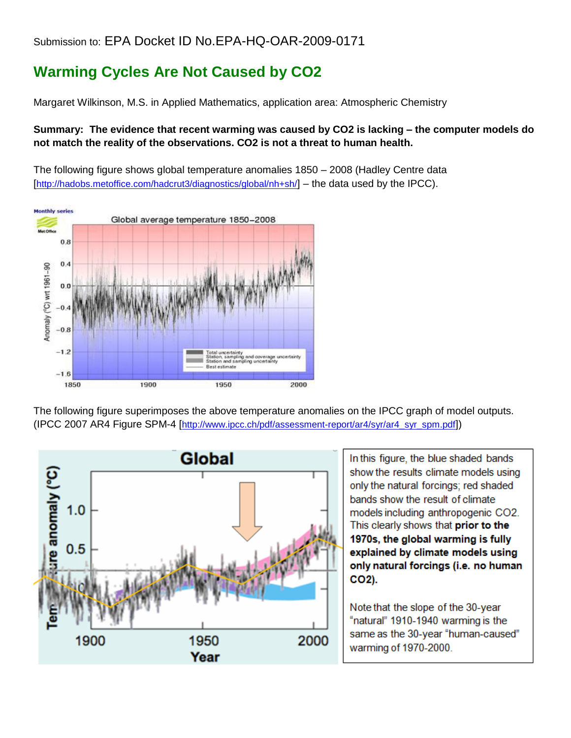## Submission to: EPA Docket ID No.EPA-HQ-OAR-2009-0171

## **Warming Cycles Are Not Caused by CO2**

Margaret Wilkinson, M.S. in Applied Mathematics, application area: Atmospheric Chemistry

## **Summary: The evidence that recent warming was caused by CO2 is lacking – the computer models do not match the reality of the observations. CO2 is not a threat to human health.**

The following figure shows global temperature anomalies 1850 – 2008 (Hadley Centre data [<http://hadobs.metoffice.com/hadcrut3/diagnostics/global/nh+sh/>] – the data used by the IPCC).



The following figure superimposes the above temperature anomalies on the IPCC graph of model outputs. (IPCC 2007 AR4 Figure SPM-4 [[http://www.ipcc.ch/pdf/assessment-report/ar4/syr/ar4\\_syr\\_spm.pdf](http://www.ipcc.ch/pdf/assessment-report/ar4/syr/ar4_syr_spm.pdf)])



In this figure, the blue shaded bands show the results climate models using only the natural forcings; red shaded bands show the result of climate models including anthropogenic CO2. This clearly shows that prior to the 1970s, the global warming is fully explained by climate models using only natural forcings (i.e. no human CO<sub>2</sub>).

Note that the slope of the 30-year "natural" 1910-1940 warming is the same as the 30-year "human-caused" warming of 1970-2000.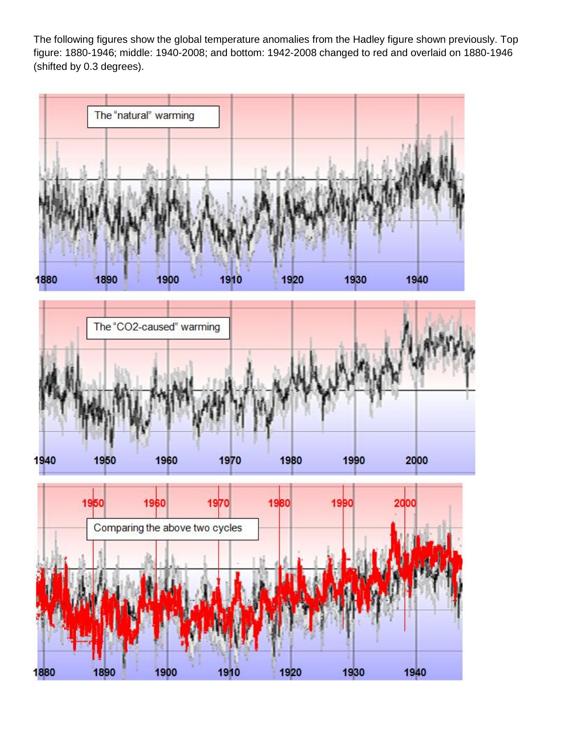The following figures show the global temperature anomalies from the Hadley figure shown previously. Top figure: 1880-1946; middle: 1940-2008; and bottom: 1942-2008 changed to red and overlaid on 1880-1946 (shifted by 0.3 degrees).

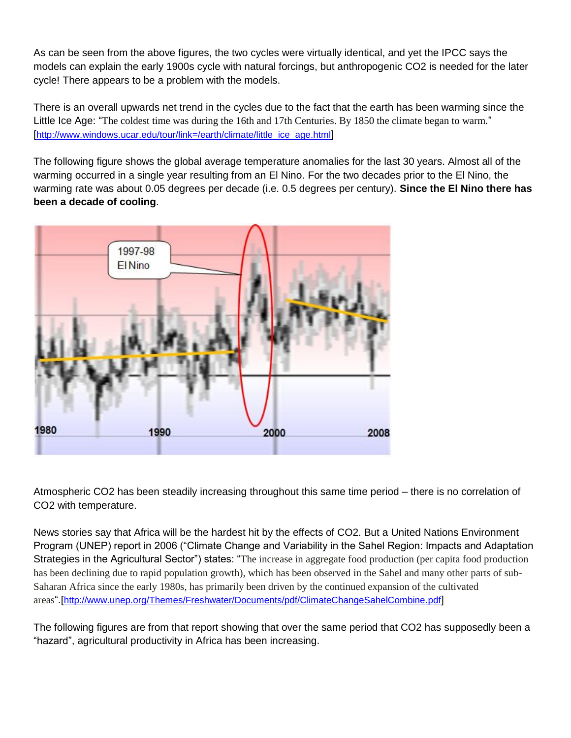As can be seen from the above figures, the two cycles were virtually identical, and yet the IPCC says the models can explain the early 1900s cycle with natural forcings, but anthropogenic CO2 is needed for the later cycle! There appears to be a problem with the models.

There is an overall upwards net trend in the cycles due to the fact that the earth has been warming since the Little Ice Age: "The coldest time was during the 16th and 17th Centuries. By 1850 the climate began to warm." [[http://www.windows.ucar.edu/tour/link=/earth/climate/little\\_ice\\_age.html](http://www.windows.ucar.edu/tour/link=/earth/climate/little_ice_age.html)]

The following figure shows the global average temperature anomalies for the last 30 years. Almost all of the warming occurred in a single year resulting from an El Nino. For the two decades prior to the El Nino, the warming rate was about 0.05 degrees per decade (i.e. 0.5 degrees per century). **Since the El Nino there has been a decade of cooling**.



Atmospheric CO2 has been steadily increasing throughout this same time period – there is no correlation of CO2 with temperature.

News stories say that Africa will be the hardest hit by the effects of CO2. But a United Nations Environment Program (UNEP) report in 2006 ("Climate Change and Variability in the Sahel Region: Impacts and Adaptation Strategies in the Agricultural Sector") states: "The increase in aggregate food production (per capita food production has been declining due to rapid population growth), which has been observed in the Sahel and many other parts of sub-Saharan Africa since the early 1980s, has primarily been driven by the continued expansion of the cultivated areas".[<http://www.unep.org/Themes/Freshwater/Documents/pdf/ClimateChangeSahelCombine.pdf>]

The following figures are from that report showing that over the same period that CO2 has supposedly been a "hazard", agricultural productivity in Africa has been increasing.